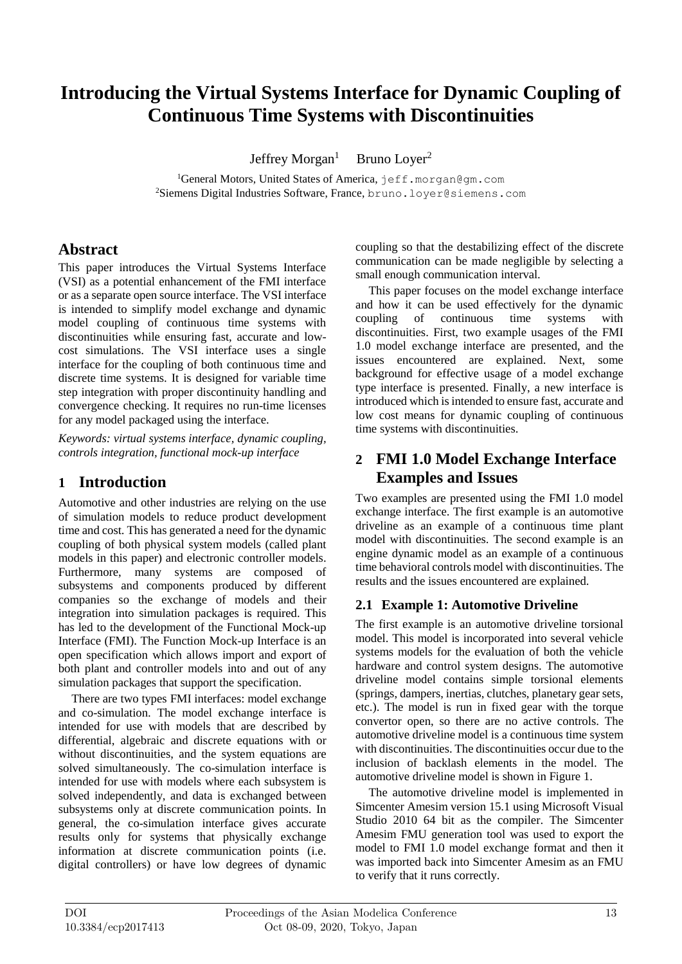# **Introducing the Virtual Systems Interface for Dynamic Coupling of Continuous Time Systems with Discontinuities**

Jeffrey Morgan<sup>1</sup> Bruno Loyer 2

<sup>1</sup>General Motors, United States of America, jeff.morgan@gm.com  $^2$ Siemens Digital Industries Software, France, bruno.loyer@siemens.com

### **Abstract**

This paper introduces the Virtual Systems Interface (VSI) as a potential enhancement of the FMI interface or as a separate open source interface. The VSI interface is intended to simplify model exchange and dynamic model coupling of continuous time systems with discontinuities while ensuring fast, accurate and low cost simulations. The VSI interface uses a single interface for the coupling of both continuous time and discrete time systems. It is designed for variable time step integration with proper discontinuity handling and convergence checking. It requires no run -time licenses for any model packaged using the interface .

*Keywords : virtual systems interface, dynamic coupling, controls integration, functional mock -up interface*

### **1 Introduction**

Automotive and other industries are relying on the use of simulation models to reduce product development time and cost. This has generated a need for the dynamic coupling of both physical system models (called plant models in this paper) and electronic controller models. Furthermore, many systems are composed of subsystems and components produced by different companies so the exchange of models and their integration into simulation packages is required. This has led to the development of the Functional Mock -up Interface (FMI). The Function Mock -up Interface is an open specification which allows import and export of both plant and controller models into and out of any simulation packages that support the specification.

There are two types FMI interfaces: model exchange and co -simulation. The model exchange interface is intended for use with models that are described by differential, algebraic and discrete equations with or without discontinuities, and the system equations are solved simultaneously. The co -simulation interface is intended for use with models where each subsystem is solved independently, and data is exchanged between subsystems only at discrete communication points. In general, the co -simulation interface gives accurate results only for systems that physically exchange information at discrete communication points (i.e. digital controllers) or have low degrees of dynamic

coupling so that the destabilizing effect of the discrete communication can be made negligible by selecting a small enough communication interval.

This paper focuses on the model exchange interface and how it can be used effectively for the dynamic coupling of continuous time systems with discontinuities. First, two example usage s of the FMI 1.0 model exchange interface are presented, and the issues encountered are explained. Next, some background for effective usage of a model exchange type interface is presented. Finally, a new interface is introduced which is intended to ensure fast, accurate and low cost means for dynamic coupling of continuous time systems with discontinuities.

## **2 FMI 1.0 Model Exchange Interface Examples and Issues**

Two examples are presente d using the FMI 1.0 model exchange interface. The first example is an automotive driveline as an example of a continuous time plant model with discontinuities. The second example is an engine dynamic model as an example of a continuous time behavioral controls model with discontinuities. The results and the issues encountered are explained.

### **2.1 Example 1 : Automotive Driveline**

The first example is an automotive driveline torsional mode l. This model is incorporated into several vehicle systems models for the evaluation of both the vehicle hardware and control system designs. The automotive driveline model contains simple torsional elements (springs, dampers, inertias, clutches, planetary gear sets, etc.). The model is run in fixed gear with the torque convertor open, so there are no active controls. The automotive driveline model is a continuous time system with discontinuities. The discontinuities occur due to the inclusion of backlash elements in the model. The automotive driveline model is shown in Figure 1.

The automotive driveline model is implemented in Simcenter Amesim version 15.1 using Microsoft Visual Studio 2010 64 bit as the compiler. The Simcenter Amesim FMU generation tool was used to export the model to FMI 1.0 model exchange format and then it was imported back into Simcenter Amesim as an FMU to verify that it runs correctly.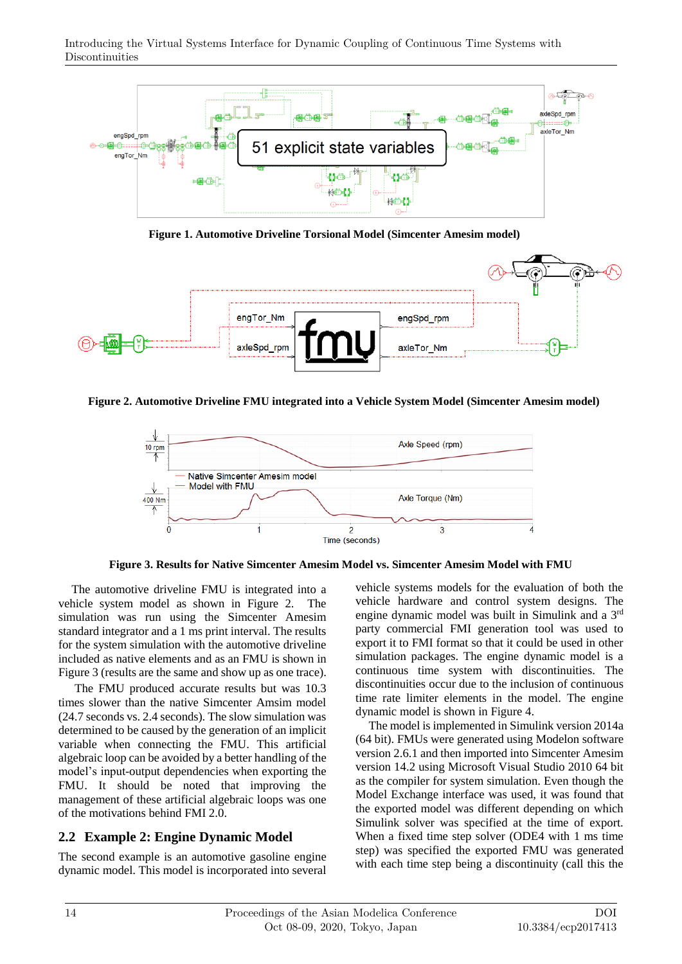

**Figure 1. Automotive Driveline Torsional Model (Simcenter Amesim model)**



**Figure 2. Automotive Driveline FMU integrated into a Vehicle System Model (Simcenter Amesim model)**



**Figure 3. Results for Native Simcenter Amesim Model vs. Simcenter Amesim Model with FMU** 

The automotive driveline FMU is integrated into a vehicle system model as shown in Figure 2. The simulation was run using the Simcenter Amesim standard integrator and a 1 ms print interval. The results for the system simulation with the automotive driveline included as native elements and as an FMU is shown in Figure 3 (results are the same and show up as one trace).

The FMU produced accurate results but was 10.3 times slower than the native Simcenter Amsim model (24.7 seconds vs. 2.4 seconds). The slow simulation was determined to be caused by the generation of an implicit variable when connecting the FMU. This artificial algebraic loop can be avoided by a better handling of the model's input-output dependencies when exporting the FMU. It should be noted that improving the management of these artificial algebraic loops was one of the motivations behind FMI 2.0.

### **2.2 Example 2: Engine Dynamic Model**

The second example is an automotive gasoline engine dynamic model. This model is incorporated into several vehicle systems models for the evaluation of both the vehicle hardware and control system designs. The engine dynamic model was built in Simulink and a 3<sup>rd</sup> party commercial FMI generation tool was used to export it to FMI format so that it could be used in other simulation packages. The engine dynamic model is a continuous time system with discontinuities. The discontinuities occur due to the inclusion of continuous time rate limiter elements in the model. The engine dynamic model is shown in Figure 4.

The model is implemented in Simulink version 2014a (64 bit). FMUs were generated using Modelon software version 2.6.1 and then imported into Simcenter Amesim version 14.2 using Microsoft Visual Studio 2010 64 bit as the compiler for system simulation. Even though the Model Exchange interface was used, it was found that the exported model was different depending on which Simulink solver was specified at the time of export. When a fixed time step solver (ODE4 with 1 ms time step) was specified the exported FMU was generated with each time step being a discontinuity (call this the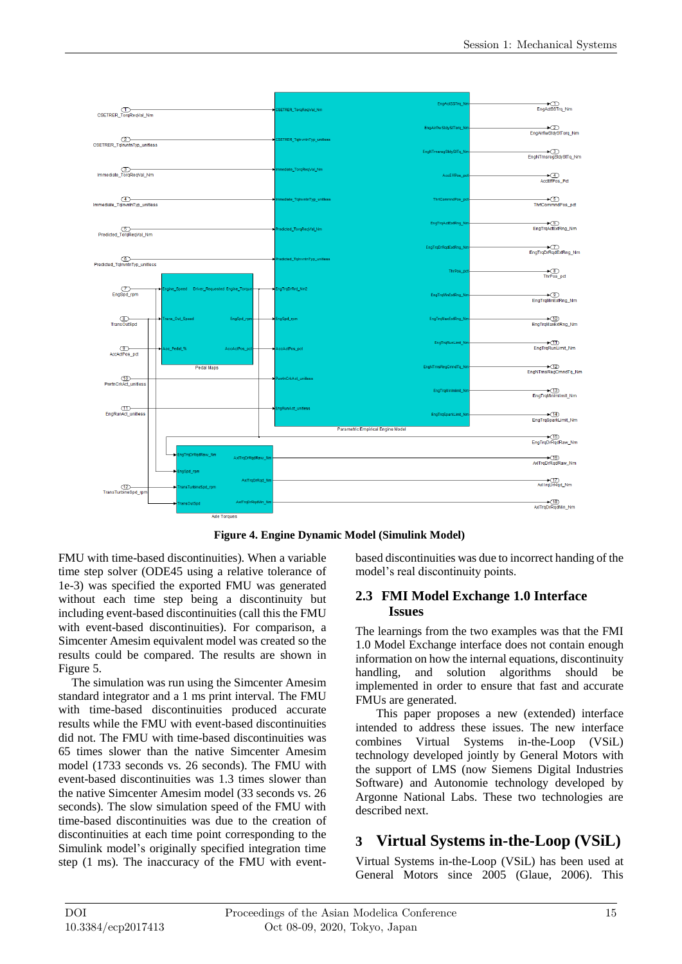

**Figure 4. Engine Dynamic Model (Simulink Model)**

FMU with time-based discontinuities). When a variable time step solver (ODE45 using a relative tolerance of 1e-3) was specified the exported FMU was generated without each time step being a discontinuity but including event-based discontinuities (call this the FMU with event-based discontinuities). For comparison, a Simcenter Amesim equivalent model was created so the results could be compared. The results are shown in Figure 5.

The simulation was run using the Simcenter Amesim standard integrator and a 1 ms print interval. The FMU with time-based discontinuities produced accurate results while the FMU with event-based discontinuities did not. The FMU with time-based discontinuities was 65 times slower than the native Simcenter Amesim model (1733 seconds vs. 26 seconds). The FMU with event-based discontinuities was 1.3 times slower than the native Simcenter Amesim model (33 seconds vs. 26 seconds). The slow simulation speed of the FMU with time-based discontinuities was due to the creation of discontinuities at each time point corresponding to the Simulink model's originally specified integration time step (1 ms). The inaccuracy of the FMU with eventbased discontinuities was due to incorrect handing of the model's real discontinuity points.

### **2.3 FMI Model Exchange 1.0 Interface Issues**

The learnings from the two examples was that the FMI 1.0 Model Exchange interface does not contain enough information on how the internal equations, discontinuity handling, and solution algorithms should be implemented in order to ensure that fast and accurate FMUs are generated.

This paper proposes a new (extended) interface intended to address these issues. The new interface combines Virtual Systems in-the-Loop (VSiL) technology developed jointly by General Motors with the support of LMS (now Siemens Digital Industries Software) and Autonomie technology developed by Argonne National Labs. These two technologies are described next.

## **3 Virtual Systems in-the-Loop (VSiL)**

Virtual Systems in-the-Loop (VSiL) has been used at General Motors since 2005 (Glaue, 2006). This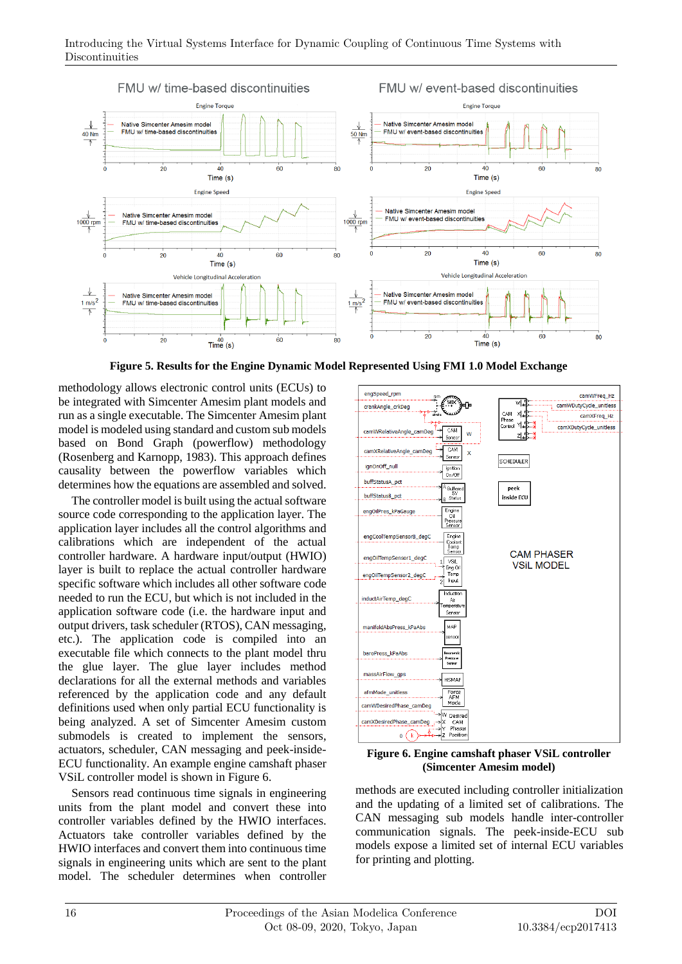

**Figure 5. Results for the Engine Dynamic Model Represented Using FMI 1.0 Model Exchange**

methodology allows electronic control units (ECUs) to be integrated with Simcenter Amesim plant models and run as a single executable. The Simcenter Amesim plant model is modeled using standard and custom sub models based on Bond Graph (powerflow) methodology (Rosenberg and Karnopp, 1983). This approach defines causality between the powerflow variables which determines how the equations are assembled and solved.

The controller model is built using the actual software source code corresponding to the application layer. The application layer includes all the control algorithms and calibrations which are independent of the actual controller hardware. A hardware input/output (HWIO) layer is built to replace the actual controller hardware specific software which includes all other software code needed to run the ECU, but which is not included in the application software code (i.e. the hardware input and output drivers, task scheduler (RTOS), CAN messaging, etc.). The application code is compiled into an executable file which connects to the plant model thru the glue layer. The glue layer includes method declarations for all the external methods and variables referenced by the application code and any default definitions used when only partial ECU functionality is being analyzed. A set of Simcenter Amesim custom submodels is created to implement the sensors, actuators, scheduler, CAN messaging and peek-inside-ECU functionality. An example engine camshaft phaser VSiL controller model is shown in Figure 6.

Sensors read continuous time signals in engineering units from the plant model and convert these into controller variables defined by the HWIO interfaces. Actuators take controller variables defined by the HWIO interfaces and convert them into continuous time signals in engineering units which are sent to the plant model. The scheduler determines when controller



**Figure 6. Engine camshaft phaser VSiL controller (Simcenter Amesim model)**

methods are executed including controller initialization and the updating of a limited set of calibrations. The CAN messaging sub models handle inter-controller communication signals. The peek-inside-ECU sub models expose a limited set of internal ECU variables for printing and plotting.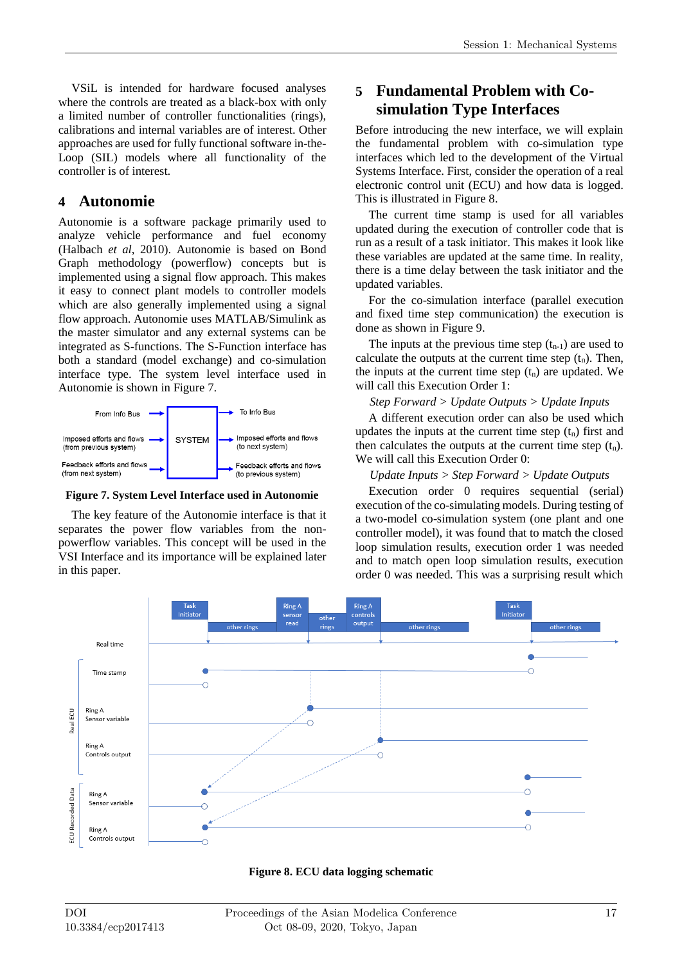VSiL is intended for hardware focused analyses where the controls are treated as a black-box with only a limited number of controller functionalities (rings), calibrations and internal variables are of interest. Other approaches are used for fully functional software in-the-Loop (SIL) models where all functionality of the controller is of interest.

### **4 Autonomie**

Autonomie is a software package primarily used to analyze vehicle performance and fuel economy (Halbach *et al*, 2010). Autonomie is based on Bond Graph methodology (powerflow) concepts but is implemented using a signal flow approach. This makes it easy to connect plant models to controller models which are also generally implemented using a signal flow approach. Autonomie uses MATLAB/Simulink as the master simulator and any external systems can be integrated as S-functions. The S-Function interface has both a standard (model exchange) and co-simulation interface type. The system level interface used in Autonomie is shown in Figure 7.



**Figure 7. System Level Interface used in Autonomie**

The key feature of the Autonomie interface is that it separates the power flow variables from the nonpowerflow variables. This concept will be used in the VSI Interface and its importance will be explained later in this paper.

## **5 Fundamental Problem with Cosimulation Type Interfaces**

Before introducing the new interface, we will explain the fundamental problem with co-simulation type interfaces which led to the development of the Virtual Systems Interface. First, consider the operation of a real electronic control unit (ECU) and how data is logged. This is illustrated in Figure 8.

The current time stamp is used for all variables updated during the execution of controller code that is run as a result of a task initiator. This makes it look like these variables are updated at the same time. In reality, there is a time delay between the task initiator and the updated variables.

For the co-simulation interface (parallel execution and fixed time step communication) the execution is done as shown in Figure 9.

The inputs at the previous time step  $(t_{n-1})$  are used to calculate the outputs at the current time step  $(t_n)$ . Then, the inputs at the current time step  $(t_n)$  are updated. We will call this Execution Order 1:

*Step Forward > Update Outputs > Update Inputs*

A different execution order can also be used which updates the inputs at the current time step  $(t_n)$  first and then calculates the outputs at the current time step  $(t_n)$ . We will call this Execution Order 0:

### *Update Inputs > Step Forward > Update Outputs*

Execution order 0 requires sequential (serial) execution of the co-simulating models. During testing of a two-model co-simulation system (one plant and one controller model), it was found that to match the closed loop simulation results, execution order 1 was needed and to match open loop simulation results, execution order 0 was needed. This was a surprising result which



**Figure 8. ECU data logging schematic**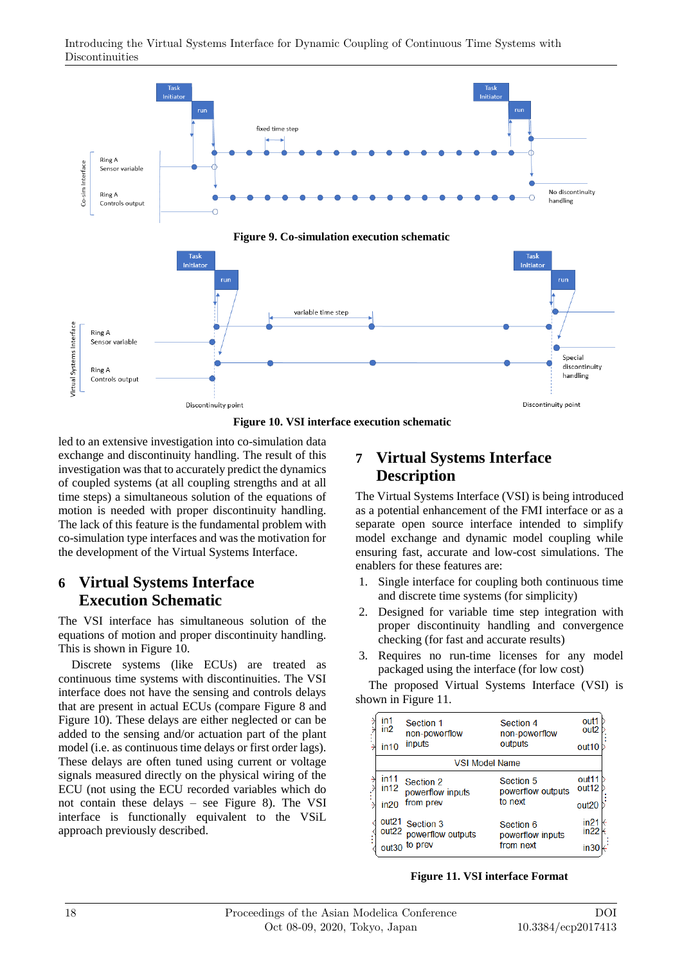

**Figure 10. VSI interface execution schematic**

led to an extensive investigation into co-simulation data exchange and discontinuity handling. The result of this investigation was that to accurately predict the dynamics of coupled systems (at all coupling strengths and at all time steps) a simultaneous solution of the equations of motion is needed with proper discontinuity handling. The lack of this feature is the fundamental problem with co-simulation type interfaces and was the motivation for the development of the Virtual Systems Interface.

### **6 Virtual Systems Interface Execution Schematic**

The VSI interface has simultaneous solution of the equations of motion and proper discontinuity handling. This is shown in Figure 10.

Discrete systems (like ECUs) are treated as continuous time systems with discontinuities. The VSI interface does not have the sensing and controls delays that are present in actual ECUs (compare Figure 8 and Figure 10). These delays are either neglected or can be added to the sensing and/or actuation part of the plant model (i.e. as continuous time delays or first order lags). These delays are often tuned using current or voltage signals measured directly on the physical wiring of the ECU (not using the ECU recorded variables which do not contain these delays – see Figure 8). The VSI interface is functionally equivalent to the VSiL approach previously described.

## **7 Virtual Systems Interface Description**

The Virtual Systems Interface (VSI) is being introduced as a potential enhancement of the FMI interface or as a separate open source interface intended to simplify model exchange and dynamic model coupling while ensuring fast, accurate and low-cost simulations. The enablers for these features are:

- 1. Single interface for coupling both continuous time and discrete time systems (for simplicity)
- 2. Designed for variable time step integration with proper discontinuity handling and convergence checking (for fast and accurate results)
- 3. Requires no run-time licenses for any model packaged using the interface (for low cost)

The proposed Virtual Systems Interface (VSI) is shown in Figure 11.

| in1               | Section 1             | Section 4         | out1              |
|-------------------|-----------------------|-------------------|-------------------|
| in <sub>2</sub>   | non-powerflow         | non-powerflow     | out <sub>2</sub>  |
| in 10             | inputs                | outputs           | out <sub>10</sub> |
|                   | <b>VSI Model Name</b> |                   |                   |
| in 11             | Section 2             | Section 5         | out <sub>11</sub> |
| in 12             | powerflow inputs      | powerflow outputs | out <sub>12</sub> |
| in 20             | from prev             | to next           | out <sub>20</sub> |
| out <sub>21</sub> | Section 3             | Section 6         | in21              |
| out <sub>22</sub> | powerflow outputs     | powerflow inputs  | in22              |
| out30             | to prev               | from next         |                   |

**Figure 11. VSI interface Format**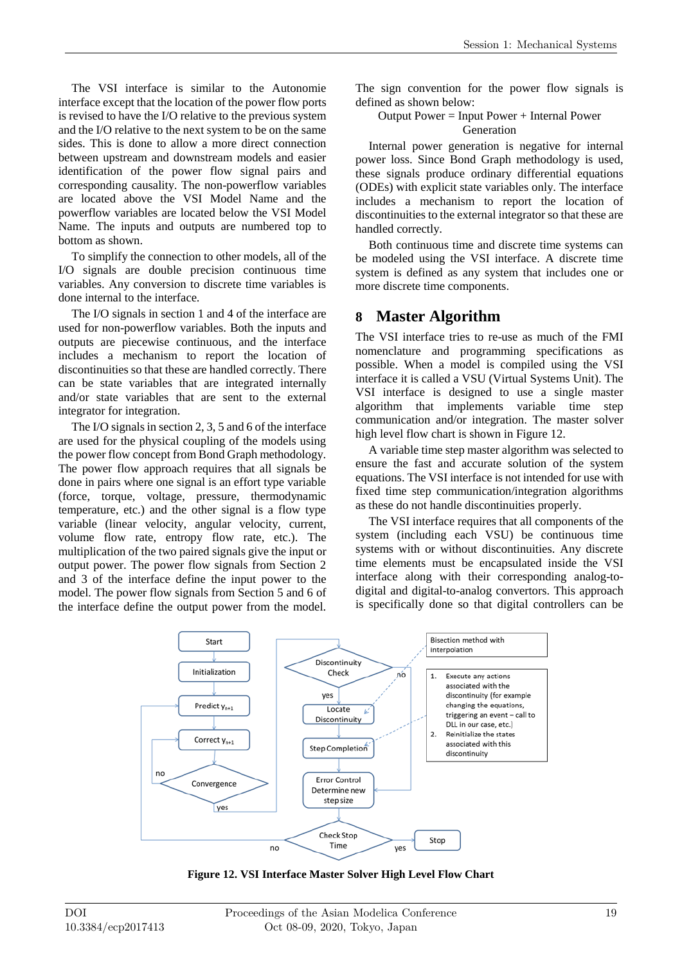The VSI interface is similar to the Autonomie interface except that the location of the power flow ports is revised to have the I/O relative to the previous system and the I/O relative to the next system to be on the same sides. This is done to allow a more direct connection between upstream and downstream models and easier identification of the power flow signal pairs and corresponding causality. The non-powerflow variables are located above the VSI Model Name and the powerflow variables are located below the VSI Model Name. The inputs and outputs are numbered top to bottom as shown.

To simplify the connection to other models, all of the I/O signals are double precision continuous time variables. Any conversion to discrete time variables is done internal to the interface.

The I/O signals in section 1 and 4 of the interface are used for non-powerflow variables. Both the inputs and outputs are piecewise continuous, and the interface includes a mechanism to report the location of discontinuities so that these are handled correctly. There can be state variables that are integrated internally and/or state variables that are sent to the external integrator for integration.

The I/O signals in section 2, 3, 5 and 6 of the interface are used for the physical coupling of the models using the power flow concept from Bond Graph methodology. The power flow approach requires that all signals be done in pairs where one signal is an effort type variable (force, torque, voltage, pressure, thermodynamic temperature, etc.) and the other signal is a flow type variable (linear velocity, angular velocity, current, volume flow rate, entropy flow rate, etc.). The multiplication of the two paired signals give the input or output power. The power flow signals from Section 2 and 3 of the interface define the input power to the model. The power flow signals from Section 5 and 6 of the interface define the output power from the model.

The sign convention for the power flow signals is defined as shown below:

#### Output Power = Input Power + Internal Power Generation

Internal power generation is negative for internal power loss. Since Bond Graph methodology is used, these signals produce ordinary differential equations (ODEs) with explicit state variables only. The interface includes a mechanism to report the location of discontinuities to the external integrator so that these are handled correctly.

Both continuous time and discrete time systems can be modeled using the VSI interface. A discrete time system is defined as any system that includes one or more discrete time components.

## **8 Master Algorithm**

The VSI interface tries to re-use as much of the FMI nomenclature and programming specifications as possible. When a model is compiled using the VSI interface it is called a VSU (Virtual Systems Unit). The VSI interface is designed to use a single master algorithm that implements variable time step communication and/or integration. The master solver high level flow chart is shown in Figure 12.

A variable time step master algorithm was selected to ensure the fast and accurate solution of the system equations. The VSI interface is not intended for use with fixed time step communication/integration algorithms as these do not handle discontinuities properly.

The VSI interface requires that all components of the system (including each VSU) be continuous time systems with or without discontinuities. Any discrete time elements must be encapsulated inside the VSI interface along with their corresponding analog-todigital and digital-to-analog convertors. This approach is specifically done so that digital controllers can be



**Figure 12. VSI Interface Master Solver High Level Flow Chart**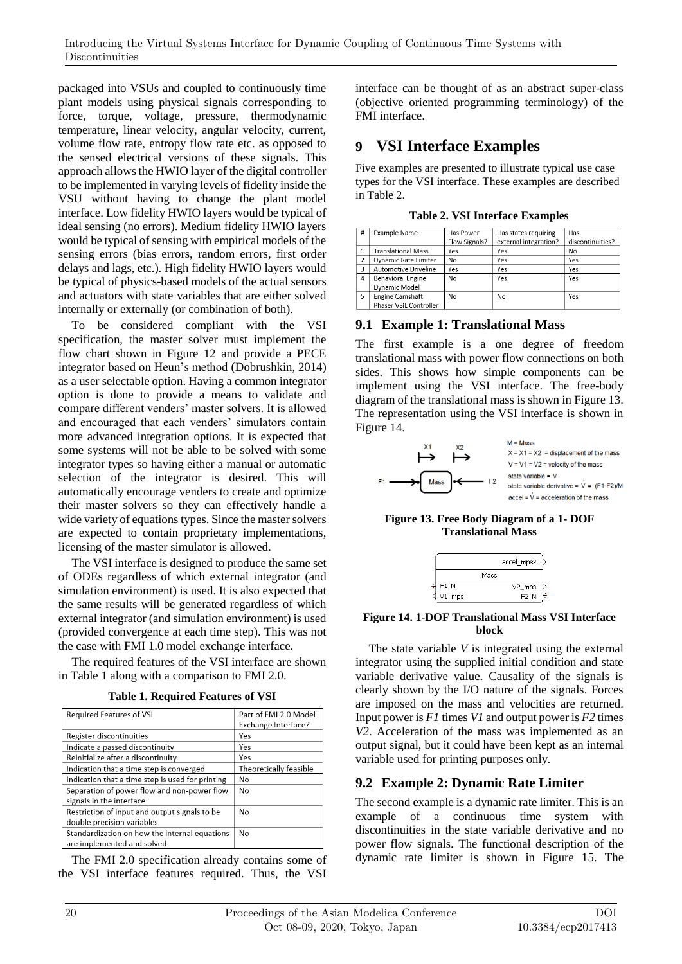packaged into VSUs and coupled to continuously time plant models using physical signals corresponding to force, torque, voltage, pressure, thermodynamic temperature, linear velocity, angular velocity, current, volume flow rate, entropy flow rate etc. as opposed to the sensed electrical versions of these signals. This approach allows the HWIO layer of the digital controller to be implemented in varying levels of fidelity inside the VSU without having to change the plant model interface. Low fidelity HWIO layers would be typical of ideal sensing (no errors). Medium fidelity HWIO layers would be typical of sensing with empirical models of the sensing errors (bias errors, random errors, first order delays and lags, etc.). High fidelity HWIO layers would be typical of physics-based models of the actual sensors and actuators with state variables that are either solved internally or externally (or combination of both).

To be considered compliant with the VSI specification, the master solver must implement the flow chart shown in Figure 12 and provide a PECE integrator based on Heun's method (Dobrushkin, 2014) as a user selectable option. Having a common integrator option is done to provide a means to validate and compare different venders' master solvers. It is allowed and encouraged that each venders' simulators contain more advanced integration options. It is expected that some systems will not be able to be solved with some integrator types so having either a manual or automatic selection of the integrator is desired. This will automatically encourage venders to create and optimize their master solvers so they can effectively handle a wide variety of equations types. Since the master solvers are expected to contain proprietary implementations, licensing of the master simulator is allowed.

The VSI interface is designed to produce the same set of ODEs regardless of which external integrator (and simulation environment) is used. It is also expected that the same results will be generated regardless of which external integrator (and simulation environment) is used (provided convergence at each time step). This was not the case with FMI 1.0 model exchange interface.

The required features of the VSI interface are shown in Table 1 along with a comparison to FMI 2.0.

|  | <b>Table 1. Required Features of VSI</b> |  |  |
|--|------------------------------------------|--|--|
|--|------------------------------------------|--|--|

| Required Features of VSI                         | Part of FMI 2.0 Model<br>Exchange Interface? |
|--------------------------------------------------|----------------------------------------------|
|                                                  |                                              |
| Register discontinuities                         | Yes                                          |
| Indicate a passed discontinuity                  | Yes                                          |
| Reinitialize after a discontinuity               | Yes                                          |
| Indication that a time step is converged         | Theoretically feasible                       |
| Indication that a time step is used for printing | No                                           |
| Separation of power flow and non-power flow      | No                                           |
| signals in the interface                         |                                              |
| Restriction of input and output signals to be    | No                                           |
| double precision variables                       |                                              |
| Standardization on how the internal equations    | No                                           |
| are implemented and solved                       |                                              |

The FMI 2.0 specification already contains some of the VSI interface features required. Thus, the VSI

interface can be thought of as an abstract super-class (objective oriented programming terminology) of the FMI interface.

## **9 VSI Interface Examples**

Five examples are presented to illustrate typical use case types for the VSI interface. These examples are described in Table 2.

**Table 2. VSI Interface Examples**

| #              | Example Name              | Has Power     | Has states requiring  | Has              |
|----------------|---------------------------|---------------|-----------------------|------------------|
|                |                           | Flow Signals? | external integration? | discontinuities? |
| 1              | <b>Translational Mass</b> | Yes           | Yes                   | No               |
| $\overline{2}$ | Dynamic Rate Limiter      | <b>No</b>     | Yes                   | Yes              |
| 3              | Automotive Driveline      | Yes           | Yes                   | Yes              |
| 4              | <b>Behavioral Engine</b>  | <b>No</b>     | Yes                   | Yes              |
|                | Dynamic Model             |               |                       |                  |
| 5              | Engine Camshaft           | No            | <b>No</b>             | Yes              |
|                | Phaser VSiL Controller    |               |                       |                  |

### **9.1 Example 1: Translational Mass**

The first example is a one degree of freedom translational mass with power flow connections on both sides. This shows how simple components can be implement using the VSI interface. The free-body diagram of the translational mass is shown in Figure 13. The representation using the VSI interface is shown in Figure 14.



**Figure 13. Free Body Diagram of a 1- DOF Translational Mass**

|           |      | accel_mps2       |  |
|-----------|------|------------------|--|
|           | Mass |                  |  |
| F1_N      |      | V2_mps           |  |
| $VI$ _mps |      | F <sub>2</sub> N |  |

#### **Figure 14. 1-DOF Translational Mass VSI Interface block**

The state variable *V* is integrated using the external integrator using the supplied initial condition and state variable derivative value. Causality of the signals is clearly shown by the I/O nature of the signals. Forces are imposed on the mass and velocities are returned. Input power is *F1* times *V1* and output power is *F2* times *V2*. Acceleration of the mass was implemented as an output signal, but it could have been kept as an internal variable used for printing purposes only.

### **9.2 Example 2: Dynamic Rate Limiter**

The second example is a dynamic rate limiter. This is an example of a continuous time system with discontinuities in the state variable derivative and no power flow signals. The functional description of the dynamic rate limiter is shown in Figure 15. The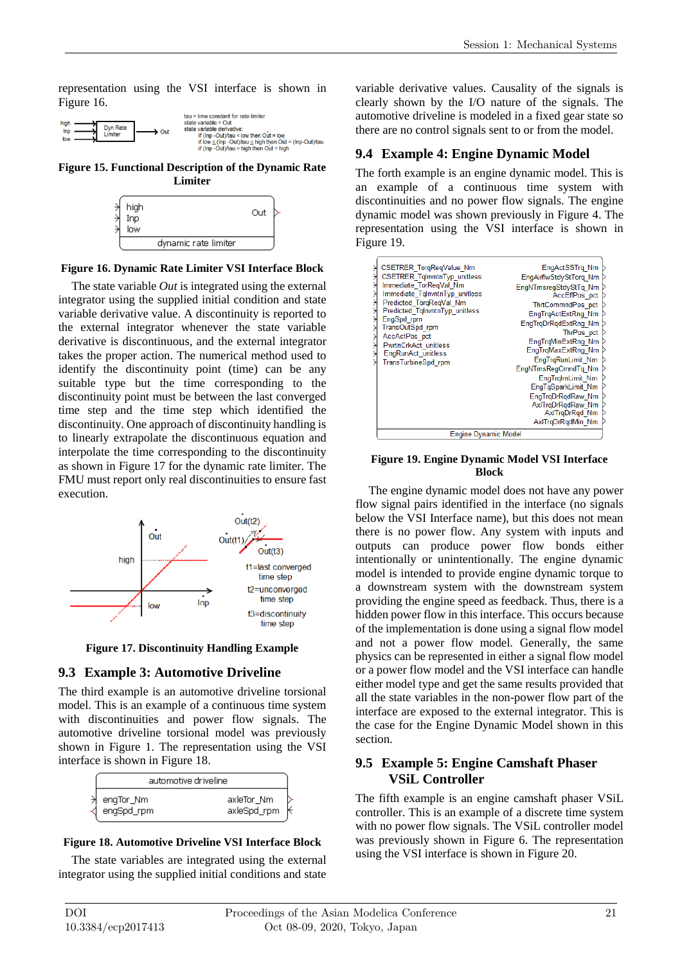representation using the VSI interface is shown in Figure 16.



**Figure 15. Functional Description of the Dynamic Rate Limiter**



#### **Figure 16. Dynamic Rate Limiter VSI Interface Block**

The state variable *Out* is integrated using the external integrator using the supplied initial condition and state variable derivative value. A discontinuity is reported to the external integrator whenever the state variable derivative is discontinuous, and the external integrator takes the proper action. The numerical method used to identify the discontinuity point (time) can be any suitable type but the time corresponding to the discontinuity point must be between the last converged time step and the time step which identified the discontinuity. One approach of discontinuity handling is to linearly extrapolate the discontinuous equation and interpolate the time corresponding to the discontinuity as shown in Figure 17 for the dynamic rate limiter. The FMU must report only real discontinuities to ensure fast execution.



**Figure 17. Discontinuity Handling Example**

### **9.3 Example 3: Automotive Driveline**

The third example is an automotive driveline torsional model. This is an example of a continuous time system with discontinuities and power flow signals. The automotive driveline torsional model was previously shown in Figure 1. The representation using the VSI interface is shown in Figure 18.

| automotive driveline    |                           |  |
|-------------------------|---------------------------|--|
| engTor_Nm<br>engSpd_rpm | axleTor_Nm<br>axleSpd_rpm |  |

### **Figure 18. Automotive Driveline VSI Interface Block**

The state variables are integrated using the external integrator using the supplied initial conditions and state variable derivative values. Causality of the signals is clearly shown by the I/O nature of the signals. The automotive driveline is modeled in a fixed gear state so there are no control signals sent to or from the model.

### **9.4 Example 4: Engine Dynamic Model**

The forth example is an engine dynamic model. This is an example of a continuous time system with discontinuities and no power flow signals. The engine dynamic model was shown previously in Figure 4. The representation using the VSI interface is shown in Figure 19.

| CSETRER TorqReqValue Nm<br><b>CSETRER TglnvntnTyp unitless</b><br>Immediate TorRegVal Nm<br>Immediate TglnvntnTyp unitless<br>Predicted TorgRegVal Nm<br>Predicted TglnvntnTyp unitless<br>EngSpd rpm<br>TransOutSpd_rpm<br>AccActPos pct<br>PwrtnCrkAct unitless<br>EngRunAct_unitless<br>TransTurbineSpd rpm | EngActSSTrg Nm<br>EngAirflwStdyStTorg Nm<br>EngNTrnsregStdyStTg Nm<br>AccEffPos pct<br>ThrtCommndPos pct<br>EngTrgActExtRng Nm<br>EngTrgDrRgdExtRng Nm<br>ThrPos pct<br>EngTrgMinExtRng Nm<br>EngTrgMaxExtRng Nm<br>EngTrgRunLimit Nm<br>EngNTrnsRegCmndTg Nm<br>EngTrgImLimit Nm<br>EngTqSparkLimit Nm<br>EngTrgDrRgdRaw Nm<br>AxlTrgDrRgdRaw Nm<br>AxlTrqDrRqd Nm<br>AxlTrqDrRqdMin Nm |
|----------------------------------------------------------------------------------------------------------------------------------------------------------------------------------------------------------------------------------------------------------------------------------------------------------------|------------------------------------------------------------------------------------------------------------------------------------------------------------------------------------------------------------------------------------------------------------------------------------------------------------------------------------------------------------------------------------------|
| Engine Dynamic Model                                                                                                                                                                                                                                                                                           |                                                                                                                                                                                                                                                                                                                                                                                          |

#### **Figure 19. Engine Dynamic Model VSI Interface Block**

The engine dynamic model does not have any power flow signal pairs identified in the interface (no signals below the VSI Interface name), but this does not mean there is no power flow. Any system with inputs and outputs can produce power flow bonds either intentionally or unintentionally. The engine dynamic model is intended to provide engine dynamic torque to a downstream system with the downstream system providing the engine speed as feedback. Thus, there is a hidden power flow in this interface. This occurs because of the implementation is done using a signal flow model and not a power flow model. Generally, the same physics can be represented in either a signal flow model or a power flow model and the VSI interface can handle either model type and get the same results provided that all the state variables in the non-power flow part of the interface are exposed to the external integrator. This is the case for the Engine Dynamic Model shown in this section.

### **9.5 Example 5: Engine Camshaft Phaser VSiL Controller**

The fifth example is an engine camshaft phaser VSiL controller. This is an example of a discrete time system with no power flow signals. The VSiL controller model was previously shown in Figure 6. The representation using the VSI interface is shown in Figure 20.